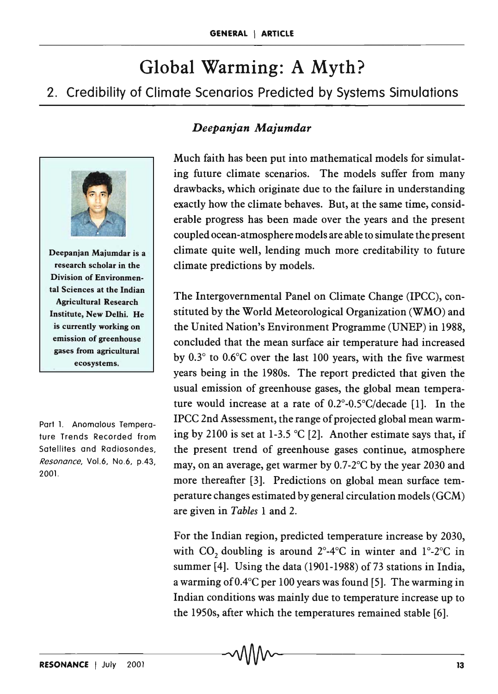# Global Warming: A Myth?

2. Credibility of Climate Scenarios Predicted by Systems Simulations



Deepanjan Majumdar is a research scholar in the Division of Environmental Sciences at the Indian Agricultural Research Institute, New Delhi. He is currently working on emission of greenhouse gases from agricultural ecosystems.

Part 1. Anomalous Temperature Trends Recorded from Satellites and Radiosondes, Resonance, Vo1.6, No.6, p.43, 2001.

## *Deepanjan Majumdar*

Much faith has been put into mathematical models for simulating future climate scenarios. The models suffer from many drawbacks, which originate due to the failure in understanding exactly how the climate behaves. But, at the same time, considerable progress has been made over the years and the present coupled ocean-atmosphere models are able to simulate the present climate quite well, lending much more creditability to future climate predictions by models.

The Intergovernmental Panel on Climate Change (IPCC), constituted by the World Meteorological Organization (WMO) and the United Nation's Environment Programme (U'NEP) in 1988, concluded that the mean surface air temperature had increased by 0.3° to 0.6°C over the last 100 years, with the five warmest years being in the 1980s. The report predicted that given the usual emission of greenhouse gases, the global mean temperature would increase at a rate of  $0.2^{\circ}$ -0.5 $^{\circ}$ C/decade [1]. In the IPCC 2nd Assessment, the range of projected global mean warming by 2100 is set at 1-3.5 °C [2]. Another estimate says that, if the present trend of greenhouse gases continue, atmosphere may, on an average, get warmer by 0.7-2°C by the year 2030 and more thereafter [3]. Predictions on global mean surface temperature changes estimated by general circulation models (GeM) are given in *Tables* 1 and 2.

For the Indian region, predicted temperature increase by 2030, with CO<sub>2</sub> doubling is around  $2^\circ$ -4°C in winter and  $1^\circ$ -2°C in summer  $[4]$ . Using the data (1901-1988) of 73 stations in India, a warming of  $0.4^{\circ}$ C per 100 years was found [5]. The warming in Indian conditions was mainly due to temperature increase up to the 1950s, after which the temperatures remained stable [6].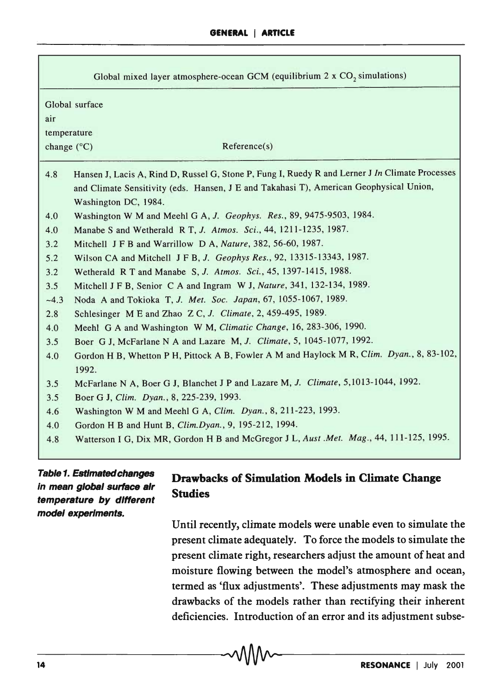| Global mixed layer atmosphere-ocean GCM (equilibrium $2 \times CO2$ simulations)                                                                                                                                         |                                                                                                    |  |  |
|--------------------------------------------------------------------------------------------------------------------------------------------------------------------------------------------------------------------------|----------------------------------------------------------------------------------------------------|--|--|
| Global surface                                                                                                                                                                                                           |                                                                                                    |  |  |
| air                                                                                                                                                                                                                      |                                                                                                    |  |  |
| temperature                                                                                                                                                                                                              |                                                                                                    |  |  |
| change (°C)                                                                                                                                                                                                              | Reference(s)                                                                                       |  |  |
| Hansen J, Lacis A, Rind D, Russel G, Stone P, Fung I, Ruedy R and Lerner J In Climate Processes<br>4.8<br>and Climate Sensitivity (eds. Hansen, J E and Takahasi T), American Geophysical Union,<br>Washington DC, 1984. |                                                                                                    |  |  |
| 4.0                                                                                                                                                                                                                      | Washington W M and Meehl G A, J. Geophys. Res., 89, 9475-9503, 1984.                               |  |  |
| 4.0                                                                                                                                                                                                                      | Manabe S and Wetherald R T, J. Atmos. Sci., 44, 1211-1235, 1987.                                   |  |  |
| 3.2                                                                                                                                                                                                                      | Mitchell J F B and Warrillow D A, Nature, 382, 56-60, 1987.                                        |  |  |
| 5.2                                                                                                                                                                                                                      | Wilson CA and Mitchell J F B, J. Geophys Res., 92, 13315-13343, 1987.                              |  |  |
| 3.2                                                                                                                                                                                                                      | Wetherald R T and Manabe S, J. Atmos. Sci., 45, 1397-1415, 1988.                                   |  |  |
| 3.5                                                                                                                                                                                                                      | Mitchell J F B, Senior C A and Ingram W J, Nature, 341, 132-134, 1989.                             |  |  |
| $-4.3$                                                                                                                                                                                                                   | Noda A and Tokioka T, J. Met. Soc. Japan, 67, 1055-1067, 1989.                                     |  |  |
| 2.8                                                                                                                                                                                                                      | Schlesinger M E and Zhao Z C, J. Climate, 2, 459-495, 1989.                                        |  |  |
| 4.0                                                                                                                                                                                                                      | Meehl G A and Washington W M, Climatic Change, 16, 283-306, 1990.                                  |  |  |
| 3.5                                                                                                                                                                                                                      | Boer G J, McFarlane N A and Lazare M, J. Climate, 5, 1045-1077, 1992.                              |  |  |
| 4.0                                                                                                                                                                                                                      | Gordon H B, Whetton P H, Pittock A B, Fowler A M and Haylock M R, Clim. Dyan., 8, 83-102,<br>1992. |  |  |
| 3.5                                                                                                                                                                                                                      | McFarlane N A, Boer G J, Blanchet J P and Lazare M, J. Climate, 5,1013-1044, 1992.                 |  |  |
| 3.5                                                                                                                                                                                                                      | Boer G J, Clim. Dyan., 8, 225-239, 1993.                                                           |  |  |
| 4.6                                                                                                                                                                                                                      | Washington W M and Meehl G A, Clim. Dyan., 8, 211-223, 1993.                                       |  |  |
| 4.0                                                                                                                                                                                                                      | Gordon H B and Hunt B, Clim. Dyan., 9, 195-212, 1994.                                              |  |  |
| 4.8                                                                                                                                                                                                                      | Watterson I G, Dix MR, Gordon H B and McGregor J L, Aust .Met. Mag., 44, 111-125, 1995.            |  |  |

#### Table 1. Estlmatedchanges in mean global surface air temperature by different model experiments.

## Drawbacks of Simulation Models in Climate Change Studies

Until recently, climate models were unable even to simulate the present climate adequately. To force the models to simulate the present climate right, researchers adjust the amount of heat and moisture flowing between the model's atmosphere and ocean, termed as 'flux adjustments'. These adjustments may mask the drawbacks of the models rather than rectifying their inherent deficiencies. Introduction of an error and its adjustment subse-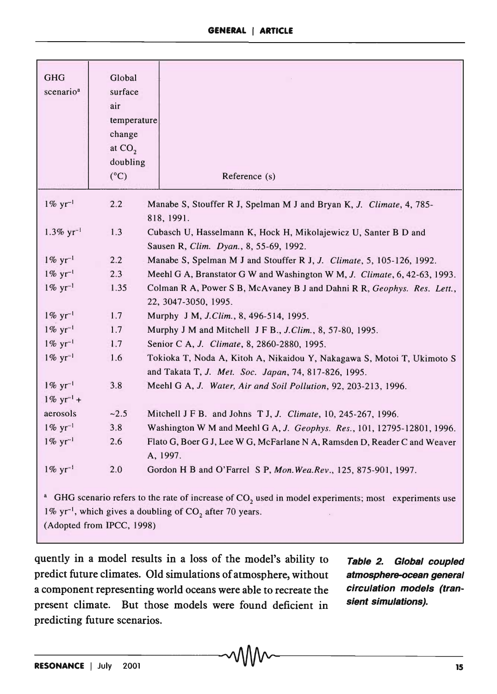| <b>GHG</b><br>scenario <sup>a</sup>                                                                                                                                                                               | Global<br>surface<br>air<br>temperature<br>change<br>at $CO2$ |                                                                                                                                |  |
|-------------------------------------------------------------------------------------------------------------------------------------------------------------------------------------------------------------------|---------------------------------------------------------------|--------------------------------------------------------------------------------------------------------------------------------|--|
|                                                                                                                                                                                                                   | doubling<br>$(^{\circ}C)$                                     | Reference (s)                                                                                                                  |  |
| $1\% \text{ yr}^{-1}$                                                                                                                                                                                             | 2.2                                                           | Manabe S, Stouffer R J, Spelman M J and Bryan K, J. Climate, 4, 785-<br>818, 1991.                                             |  |
| $1.3\% \text{ yr}^{-1}$                                                                                                                                                                                           | 1.3                                                           | Cubasch U, Hasselmann K, Hock H, Mikolajewicz U, Santer B D and<br>Sausen R, Clim. Dyan., 8, 55-69, 1992.                      |  |
| $1\% \text{ yr}^{-1}$                                                                                                                                                                                             | 2.2                                                           | Manabe S, Spelman M J and Stouffer R J, J. Climate, 5, 105-126, 1992.                                                          |  |
| $1\% \text{ yr}^{-1}$                                                                                                                                                                                             | 2.3                                                           | Meehl G A, Branstator G W and Washington W M, J. Climate, 6, 42-63, 1993.                                                      |  |
| $1\% \text{ yr}^{-1}$                                                                                                                                                                                             | 1.35                                                          | Colman R A, Power S B, McAvaney B J and Dahni R R, Geophys. Res. Lett.,<br>22, 3047-3050, 1995.                                |  |
| $1\% \text{ yr}^{-1}$                                                                                                                                                                                             | 1.7                                                           | Murphy J M, J.Clim., 8, 496-514, 1995.                                                                                         |  |
| $1\% \text{ yr}^{-1}$                                                                                                                                                                                             | 1.7                                                           | Murphy J M and Mitchell J F B., J.Clim., 8, 57-80, 1995.                                                                       |  |
| $1\% \text{ yr}^{-1}$                                                                                                                                                                                             | 1.7                                                           | Senior C A, J. Climate, 8, 2860-2880, 1995.                                                                                    |  |
| $1\% \text{ yr}^{-1}$                                                                                                                                                                                             | 1.6                                                           | Tokioka T, Noda A, Kitoh A, Nikaidou Y, Nakagawa S, Motoi T, Ukimoto S<br>and Takata T, J. Met. Soc. Japan, 74, 817-826, 1995. |  |
| $1\% \text{ yr}^{-1}$                                                                                                                                                                                             | 3.8                                                           | Meehl G A, J. Water, Air and Soil Pollution, 92, 203-213, 1996.                                                                |  |
| $1\% \text{ yr}^{-1} +$                                                                                                                                                                                           |                                                               |                                                                                                                                |  |
| aerosols                                                                                                                                                                                                          | $-2.5$                                                        | Mitchell J F B. and Johns T J, J. Climate, 10, 245-267, 1996.                                                                  |  |
| $1\% \text{ yr}^{-1}$                                                                                                                                                                                             | 3.8                                                           | Washington W M and Meehl G A, J. Geophys. Res., 101, 12795-12801, 1996.                                                        |  |
| $1\% \text{ yr}^{-1}$                                                                                                                                                                                             | 2.6                                                           | Flato G, Boer G J, Lee W G, McFarlane N A, Ramsden D, Reader C and Weaver<br>A, 1997.                                          |  |
| $1\% \text{ yr}^{-1}$                                                                                                                                                                                             | 2.0                                                           | Gordon H B and O'Farrel S P, Mon. Wea. Rev., 125, 875-901, 1997.                                                               |  |
| <sup>a</sup> GHG scenario refers to the rate of increase of $CO2$ used in model experiments; most experiments use<br>1% $yr^{-1}$ , which gives a doubling of $CO_2$ after 70 years.<br>(Adopted from IPCC, 1998) |                                                               |                                                                                                                                |  |

**quently in a model results in a loss of the model's ability to predict future climates. Old simulations of atmosphere, without a component representing world oceans were able to recreate the**  present climate. But those models were found deficient in **predicting future scenarios.** 

**Table 2. Global coupled atmosphere-ocean general circulation models (transient simulations).**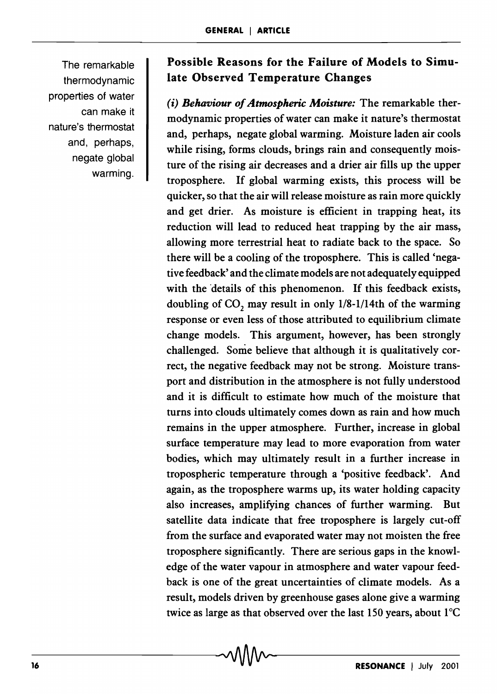The remarkable thermodynamic properties of water can make it nature's thermostat and, perhaps, negate global warming.

## Possible Reasons for the Failure of Models to Simulate Observed Temperature Changes

*(i) Behaviour of Atmospheric Moisture:* The remarkable thermodynamic properties of water can make it nature's thermostat and, perhaps, negate global warming. Moisture laden air cools while rising, forms clouds, brings rain and consequently moisture of the rising air decreases and a drier air fills up the upper troposphere. If global warming exists, this process will be quicker, so that the air will release moisture as rain more quickly and get drier. As moisture is efficient in trapping heat, its reduction will lead to reduced heat trapping by the air mass, allowing more terrestrial heat to radiate back to the space. So there will be a cooling of the troposphere. This is called 'negative feedback' and the climate models are not adequately equipped with the details of this phenomenon. If this feedback exists, doubling of  $CO$ , may result in only  $1/8-1/14$ th of the warming response or even less of those attributed to equilibrium climate change models. This argument, however, has been strongly challenged. Some believe that although it is qualitatively correct, the negative feedback may not be strong. Moisture transport and distribution in the atmosphere is not fully understood and it is difficult to estimate how much of the moisture that turns into clouds ultimately comes down as rain and how much remains in the upper atmosphere. Further, increase in global surface temperature may lead to more evaporation from water bodies, which may ultimately result in a further increase in tropospheric temperature through a 'positive feedback'. And again, as the troposphere warms up, its water holding capacity also increases, amplifying chances of further warming. But satellite data indicate that free troposphere is largely cut-off from the surface and evaporated water may not moisten the free troposphere significantly. There are serious gaps in the knowledge of the water vapour in atmosphere and water vapour feedback is one of the great uncertainties of climate models. As a result, models driven by greenhouse gases alone give a warming twice as large as that observed over the last 150 years, about  $1^{\circ}$ C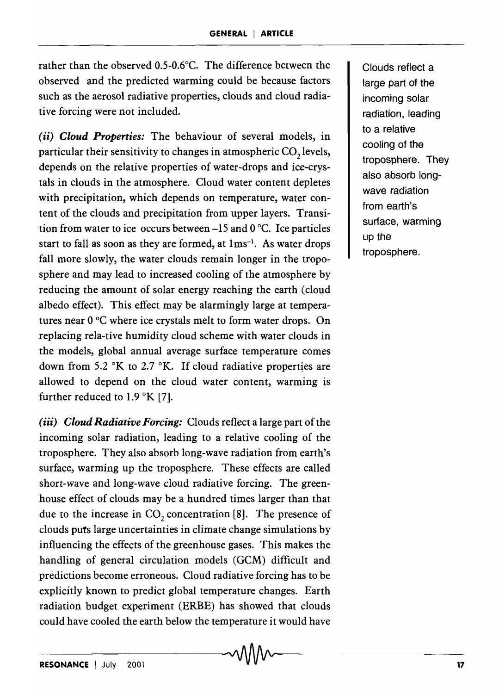rather than the observed O.5-0.6°C. The difference between the observed and the predicted warming could be because factors such as the aerosol radiative properties, clouds and cloud radiative forcing were not included.

*(ii) Cloud Properties:* The behaviour of several models, in particular their sensitivity to changes in atmospheric CO<sub>2</sub> levels, depends on the relative properties of water-drops and ice-crystals in clouds in the atmosphere. Cloud water content depletes with precipitation, which depends on temperature, water content of the clouds and precipitation from upper layers. Transition from water to ice occurs between -15 and 0 °C. Ice particles start to fall as soon as they are formed, at  $1 \text{ms}^{-1}$ . As water drops fall more slowly, the water clouds remain longer in the troposphere and may lead to increased cooling of the atmosphere by reducing the amount of solar energy reaching the earth (cloud albedo effect). This effect may be alarmingly large at temperatures near 0 °C where ice crystals melt to form water drops. On replacing rela-tive humidity cloud scheme with water clouds in the models, global annual average surface temperature comes down from 5.2  $\mathrm{K}$  to 2.7  $\mathrm{K}$ . If cloud radiative properties are allowed to depend on the cloud water content, warming is further reduced to  $1.9 \text{ }^{\circ}\text{K}$  [7].

*(iii) Cloud Radiative Forcing:* Clouds reflect a large part of the incoming solar radiation, leading to a relative cooling of the troposphere. They also absorb long-wave radiation from earth's surface, warming up the troposphere. These effects are called short-wave and long-wave cloud radiative forcing. The greenhouse effect of clouds may be a hundred times larger than that due to the increase in CO<sub>2</sub> concentration [8]. The presence of clouds puts large uncertainties in climate change simulations by influencing the effects of the greenhouse gases. This makes the handling of general circulation models (GCM) difficult and predictions become erroneous. Cloud radiative forcing has to be explicitly known to predict global temperature changes. Earth radiation budget experiment (ERBE) has showed that clouds could have cooled the earth below the temperature it would have

Clouds reflect a large part of the incoming solar radiation, leading to a relative cooling of the troposphere. They also absorb longwave radiation from earth's surface, warming up the troposphere.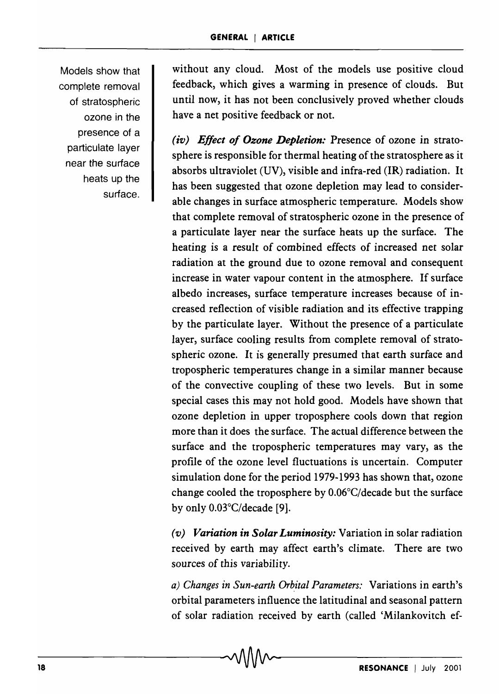Models show that complete removal of stratospheric ozone in the presence of a particulate layer near the surface heats up the surface. without any cloud. Most of the models use positive cloud feedback, which gives a warming in presence of clouds. But until now, it has not been conclusively proved whether clouds have a net positive feedback or not.

*(iv) Effect of Ozone Depletion:* Presence of ozone in stratosphere is responsible for thermal heating of the stratosphere as it absorbs ultraviolet (UV), visible and infra-red (IR) radiation. It has been suggested that ozone depletion may lead to considerable changes in surface atmospheric temperature. Models show that complete removal of stratospheric ozone in the presence of a particulate layer near the surface heats up the surface. The heating is a result of combined effects of increased net solar radiation at the ground due to ozone removal and consequent increase in water vapour content in the atmosphere. If surface albedo increases, surface temperature increases because of increased reflection of visible radiation and its effective trapping by the particulate layer. Without the presence of a particulate layer, surface cooling results from complete removal of stratospheric ozone. It is generally presumed that earth surface and tropospheric temperatures change in a similar manner because of the convective coupling of these two levels. But in some special cases this may not hold good. Models have shown that ozone depletion in upper troposphere cools down that region more than it does the surface. The actual difference between the surface and the tropospheric temperatures may vary, as the profile of the ozone level fluctuations is uncertain. Computer simulation done for the period 1979-1993 has shown that, ozone change cooled the troposphere by O.06°C/decade but the surface by only O.03°C/decade [9].

*(v) Variation in Solar Luminosity:* Variation in solar radiation received by earth may affect earth's climate. There are two sources of this variability.

a) Changes in Sun-earth Orbital Parameters: Variations in earth's orbital parameters influence the latitudinal and seasonal pattern of solar radiation received by earth (called 'Milankovitch ef-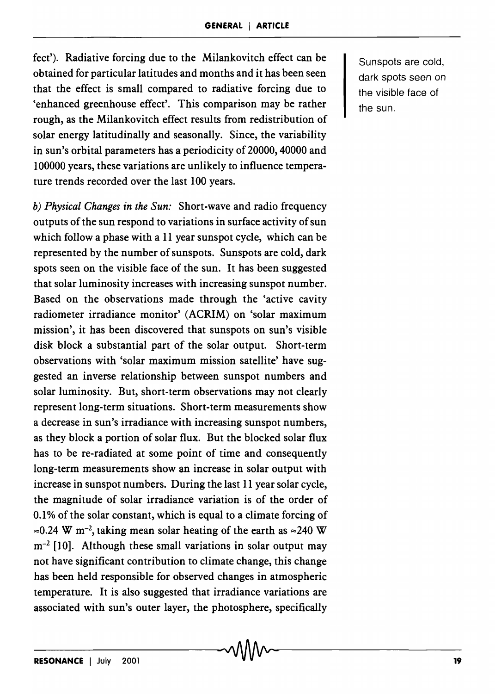feet'). Radiative forcing due to the Milankovitch effect can be obtained for particular latitudes and months and it has been seen that the effect is small compared to radiative forcing due to 'enhanced greenhouse effect'. This comparison may be rather rough, as the Milankovitch effect results from redistribution of solar energy latitudinally and seasonally. Since, the variability in sun's orbital parameters has a periodicity of 20000,40000 and 100000 years, these variations are unlikely to influence temperature trends recorded over the last 100 years.

*b) Physical Changes in the Sun:* Short-wave and radio frequency outputs of the sun respond to variations in surface activity of sun which follow a phase with a 11 year sunspot cycle, which can be represented by the number of sunspots. Sunspots are cold, dark spots seen on the visible face of the sun. It has been suggested that solar luminosity increases with increasing sunspot number. Based on the observations made through the 'active cavity radiometer irradiance monitor' (ACRIM) on 'solar maximum mission', it has been discovered that sunspots on sun's visible disk block a substantial part of the solar output. Short-term observations with 'solar maximum mission satellite' have suggested an inverse relationship between sunspot numbers and solar luminosity. But, short-term observations may not clearly represent long-term situations. Short-term measurements show a decrease in sun's irradiance with increasing sunspot numbers, as they block a portion of solar flux. But the blocked solar flux has to be re-radiated at some point of time and consequently long-term measurements show an increase in solar output with increase in sunspot numbers. During the last 11 year solar cycle, the magnitude of solar irradiance variation is of the order of 0.1% of the solar constant, which is equal to a climate forcing of  $\approx 0.24$  W m<sup>-2</sup>, taking mean solar heating of the earth as  $\approx 240$  W  $m<sup>-2</sup>$  [10]. Although these small variations in solar output may not have significant contribution to climate change, this change has been held responsible for observed changes in atmospheric temperature. It is also suggested that irradiance variations are associated with sun's outer layer, the photosphere, specifically

Sunspots are cold, dark spots seen on the visible face of the sun.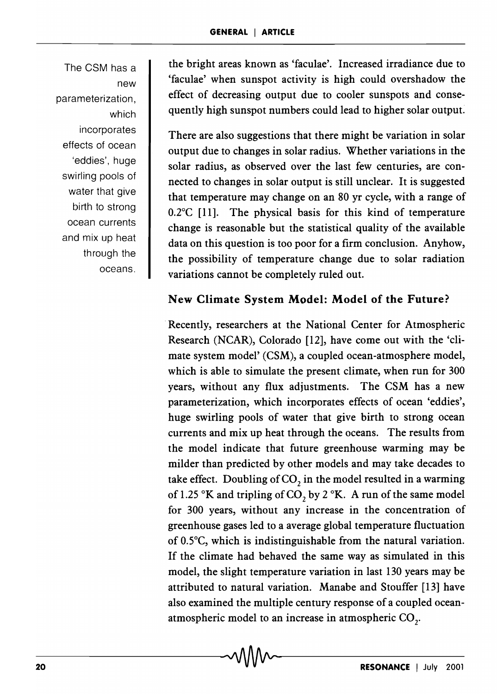The CSM has a new parameterization, which incorporates effects of ocean 'eddies', huge swirling pools of water that give birth to strong ocean currents and mix up heat through the oceans.

the bright areas known as 'faculae'. Increased irradiance due to 'faculae' when sunspot activity is high could overshadow the effect of decreasing output due to cooler sunspots and consequently high sunspot numbers could lead to higher solar output.

There are also suggestions that there might be variation in solar output due to changes in solar radius. Whether variations in the solar radius, as observed over the last few centuries, are connected to changes in solar output is still unclear. It is suggested that temperature may change on an 80 yr cycle, with a range of 0.2°C [11]. The physical basis for this kind of temperature change is reasonable but the statistical quality of the available data on this question is too poor for a firm conclusion. Anyhow, the possibility of temperature change due to solar radiation variations cannot be completely ruled out.

## New Climate System Model: Model of the Future?

Recently, researchers at the National Center for Atmospheric Research (NCAR), Colorado [12], have come out with the 'climate system model' (CSM), a coupled ocean-atmosphere model, which is able to simulate the present climate, when run for 300 years, without any flux adjustments. The CSM has a new parameterization, which incorporates effects of ocean 'eddies', huge swirling pools of water that give birth to strong ocean currents and mix up heat through the oceans. The results from the model indicate that future greenhouse warming may be milder than predicted by other models and may take decades to take effect. Doubling of  $CO<sub>2</sub>$  in the model resulted in a warming of 1.25 °K and tripling of CO<sub>2</sub> by 2 °K. A run of the same model for 300 years, without any increase in the concentration of greenhouse gases led to a average global temperature fluctuation of 0.5°C, which is indistinguishable from the natural variation. If the climate had behaved the same way as simulated in this model, the slight temperature variation in last 130 years may be attributed to natural variation. Manabe and Stouffer [13] have also examined the multiple century response of a coupled oceanatmospheric model to an increase in atmospheric  $CO<sub>2</sub>$ .